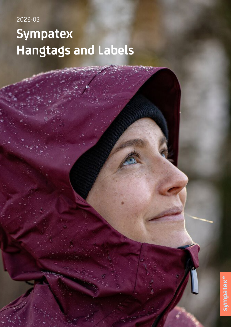# 2022-03 **Sympatex Hangtags and Labels**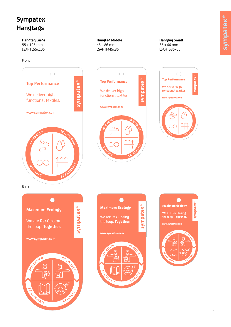### **Sympatex Hangtags**

#### **Hangtag Large** 55 x 106 mm

LSAHTL55x106

#### Front



#### **Hangtag Middle**

45 x 86 mm LSAHTM45x86 **Hangtag Small** 35 x 66 mm LSAHTS35x66









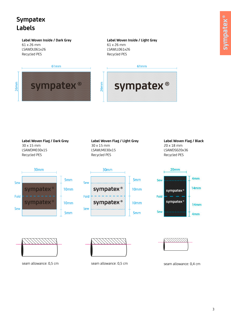### **Sympatex Labels**

 $26mm$ 

#### **Label Woven Inside / Dark Grey**  61 x 26 mm LSAWDL061x26

Recycled PES

**Label Woven Inside / Light Grey**  61 x 26 mm LSAWLL061x26 Recycled PES

61<sub>mm</sub>





#### **Label Woven Flag / Light Grey**  30 x 15 mm LSAWLM030x15 Recycled PES

#### **Label Woven Flag / Black** 20 x 18 mm LSAWDS020x36

30mm 5<sub>mm</sub> Sew 10mm mpatex Fold sympatex 10<sub>mm</sub> Sew 5mm





Recycled PES







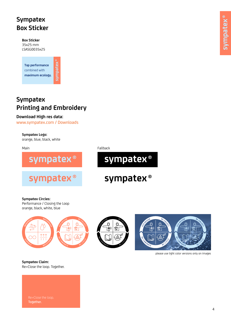### **Sympatex Box Sticker**

**Box Sticker**  35x25 mm LSASG0035x25

**Top performance**  combined with **maximum ecology.**

### **Sympatex Printing and Embroidery**

sympatex

#### **Download High res data:**

www.sympatex.com / Downloads

**Sympatex Logo:** orange, blue, black, white





Main **Fallback** 



## sympatex<sup>®</sup>

**Sympatex Circles:**  Performance / Closing the Loop orange, black, white, blue







please use light color versions only on images

**Sympatex Claim:** Re>Close the loop. Together.

Together.